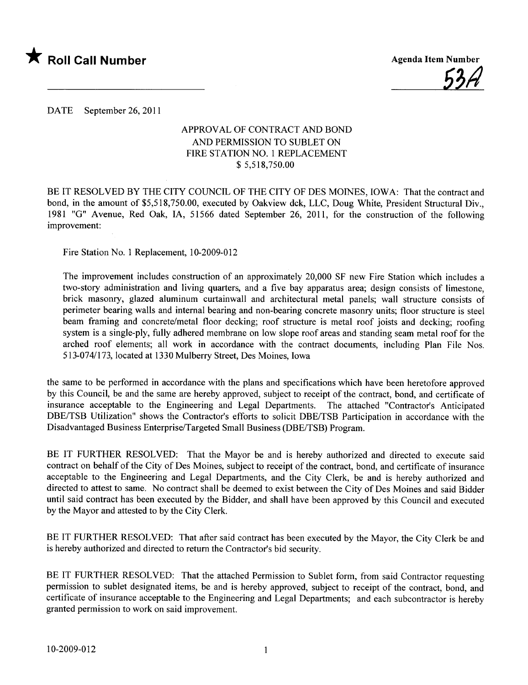

<u>55H</u>

DATE September 26, 2011

## APPROVAL OF CONTRACT AND BOND AND PERMISSION TO SUBLET ON FIRE STATION NO.1 REPLACEMENT \$ 5,518,750.00

BE IT RESOLVED BY THE CITY COUNCIL OF THE CITY OF DES MOINES, IOWA: That the contract and bond, in the amount of \$5,518,750.00, executed by Oakview dck, LLC, Doug White, President Structural Div., 1981 "G" Avenue, Red Oak, lA, 51566 dated September 26, 2011, for the construction of the following improvement:

Fire Station No.1 Replacement, 10-2009-012

The improvement includes construction of an approximately 20,000 SF new Fire Station which includes a two-story administration and living quarters, and a five bay apparatus area; design consists of limestone, brick masonry, glazed aluminum curtainwall and architectural metal panels; wall structure consists of perimeter bearing walls and internal bearing and non-bearing concrete masonry units; floor structure is steel beam framing and concrete/metal floor decking; roof structure is metal roof joists and decking; roofing system is a single-ply, fully adhered membrane on low slope roof areas and standing seam metal roof for the arched roof elements; all work in accordance with the contract documents, including Plan File Nos. 513-074/173, located at 1330 Mulberry Street, Des Moines, Iowa

the same to be performed in accordance with the plans and specifications which have been heretofore approved by this Council, be and the same are hereby approved, subject to receipt of the contract, bond, and certificate of insurance acceptable to the Engineering and Legal Departments. The attached "Contractor's Anticipated DBE/TSB Utilzation" shows the Contractor's efforts to solicit DBE/TSB Participation in accordance with the Disadvantaged Business Enterprise/Targeted Small Business (DBE/TSB) Program.

BE IT FURTHER RESOLVED: That the Mayor be and is hereby authorized and directed to execute said contract on behalf of the City of Des Moines, subject to receipt of the contract, bond, and certificate of insurance acceptable to the Engineering and Legal Departments, and the City Clerk, be and is hereby authorized and directed to attest to same. No contract shall be deemed to exist between the City of Des Moines and said Bidder until said contract has been executed by the Bidder, and shall have been approved by this Council and executed by the Mayor and attested to by the City Clerk.

BE IT FURTHER RESOLVED: That after said contract has been executed by the Mayor, the City Clerk be and is hereby authorized and directed to return the Contractor's bid security.

BE IT FURTHER RESOLVED: That the attached Permission to Sublet form, from said Contractor requesting permission to sublet designated items, be and is hereby approved, subject to receipt of the contract, bond, and certificate of insurance acceptable to the Engineering and Legal Departments; and each subcontractor is hereby granted permission to work on said improvement.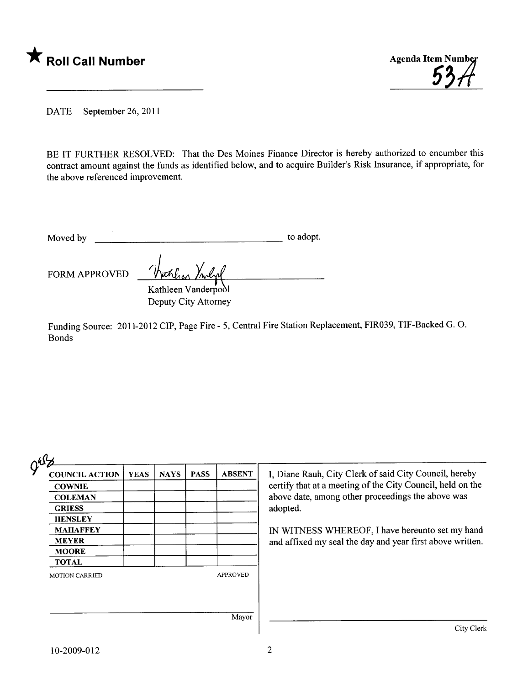



DATE September 26, 2011

BE IT FURTHER RESOLVED: That the Des Moines Finance Director is hereby authorized to encumber this contract amount against the funds as identified below, and to acquire Builder's Risk Insurance, if appropriate, for the above referenced improvement.

Moved by to adopt.

FORM APPROVED

Kathleen Vanderpool Deputy City Attorney

Funding Source: 2011-2012 CIP, Page Fire - 5, Central Fire Station Replacement, FIR039, TIF-Backed G. O. Bonds

| guz<br><b>COUNCIL ACTION</b> | <b>YEAS</b> | <b>NAYS</b> | <b>PASS</b> | <b>ABSENT</b>   | I, Diane Rauh, City Clerk of said City Council, hereby                                                                      |  |  |
|------------------------------|-------------|-------------|-------------|-----------------|-----------------------------------------------------------------------------------------------------------------------------|--|--|
| <b>COWNIE</b>                |             |             |             |                 | certify that at a meeting of the City Council, held on the<br>above date, among other proceedings the above was<br>adopted. |  |  |
| <b>COLEMAN</b>               |             |             |             |                 |                                                                                                                             |  |  |
| <b>GRIESS</b>                |             |             |             |                 |                                                                                                                             |  |  |
| <b>HENSLEY</b>               |             |             |             |                 |                                                                                                                             |  |  |
| <b>MAHAFFEY</b>              |             |             |             |                 | IN WITNESS WHEREOF, I have hereunto set my hand                                                                             |  |  |
| <b>MEYER</b>                 |             |             |             |                 | and affixed my seal the day and year first above written.                                                                   |  |  |
| <b>MOORE</b>                 |             |             |             |                 |                                                                                                                             |  |  |
| <b>TOTAL</b>                 |             |             |             |                 |                                                                                                                             |  |  |
| <b>MOTION CARRIED</b>        |             |             |             | <b>APPROVED</b> |                                                                                                                             |  |  |
|                              |             |             |             | Mayor           |                                                                                                                             |  |  |
|                              |             |             |             |                 | City Clerk                                                                                                                  |  |  |

~~-